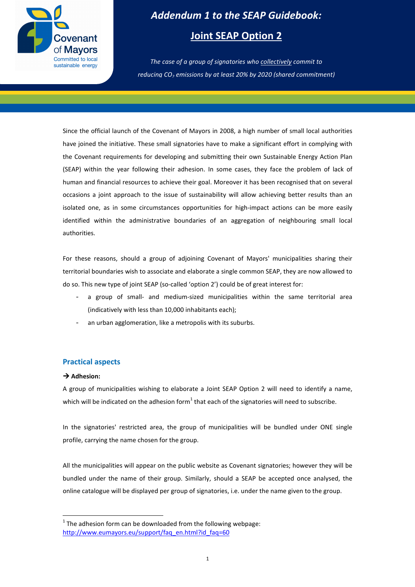

# *Addendum 1 to the SEAP Guidebook:*  **Joint SEAP Option 2**

## *The case of a group of signatories who collectively commit to reducing CO<sup>2</sup> emissions by at least 20% by 2020 (shared commitment)*

Since the official launch of the Covenant of Mayors in 2008, a high number of small local authorities have joined the initiative. These small signatories have to make a significant effort in complying with the Covenant requirements for developing and submitting their own Sustainable Energy Action Plan (SEAP) within the year following their adhesion. In some cases, they face the problem of lack of human and financial resources to achieve their goal. Moreover it has been recognised that on several occasions a joint approach to the issue of sustainability will allow achieving better results than an isolated one, as in some circumstances opportunities for high-impact actions can be more easily identified within the administrative boundaries of an aggregation of neighbouring small local authorities.

For these reasons, should a group of adjoining Covenant of Mayors' municipalities sharing their territorial boundaries wish to associate and elaborate a single common SEAP, they are now allowed to do so. This new type of joint SEAP (so-called 'option 2') could be of great interest for:

- a group of small- and medium-sized municipalities within the same territorial area (indicatively with less than 10,000 inhabitants each);
- an urban agglomeration, like a metropolis with its suburbs.

#### **Practical aspects**

#### → Adhesion:

 $\overline{a}$ 

A group of municipalities wishing to elaborate a Joint SEAP Option 2 will need to identify a name, which will be indicated on the adhesion form $^1$  that each of the signatories will need to subscribe.

In the signatories' restricted area, the group of municipalities will be bundled under ONE single profile, carrying the name chosen for the group.

All the municipalities will appear on the public website as Covenant signatories; however they will be bundled under the name of their group. Similarly, should a SEAP be accepted once analysed, the online catalogue will be displayed per group of signatories, i.e. under the name given to the group.

 $1$  The adhesion form can be downloaded from the following webpage: http://www.eumayors.eu/support/faq\_en.html?id\_faq=60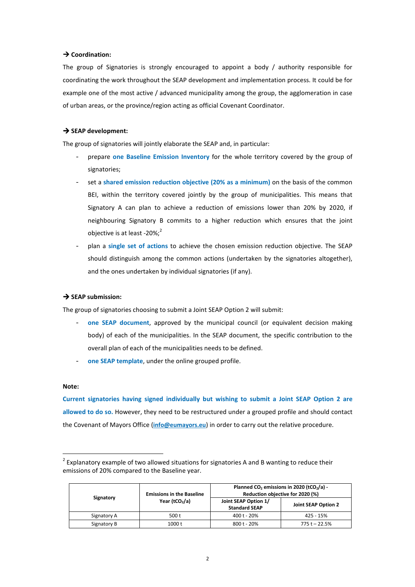#### **→ Coordination:**

The group of Signatories is strongly encouraged to appoint a body / authority responsible for coordinating the work throughout the SEAP development and implementation process. It could be for example one of the most active / advanced municipality among the group, the agglomeration in case of urban areas, or the province/region acting as official Covenant Coordinator.

#### $\rightarrow$  SEAP development:

The group of signatories will jointly elaborate the SEAP and, in particular:

- prepare **one Baseline Emission Inventory** for the whole territory covered by the group of signatories;
- set a **shared emission reduction objective (20% as a minimum)** on the basis of the common BEI, within the territory covered jointly by the group of municipalities. This means that Signatory A can plan to achieve a reduction of emissions lower than 20% by 2020, if neighbouring Signatory B commits to a higher reduction which ensures that the joint objective is at least -20%; $^{2}$
- plan a **single set of actions** to achieve the chosen emission reduction objective. The SEAP should distinguish among the common actions (undertaken by the signatories altogether), and the ones undertaken by individual signatories (if any).

#### $\rightarrow$  SEAP submission:

The group of signatories choosing to submit a Joint SEAP Option 2 will submit:

- **one SEAP document**, approved by the municipal council (or equivalent decision making body) of each of the municipalities. In the SEAP document, the specific contribution to the overall plan of each of the municipalities needs to be defined.
- one SEAP template, under the online grouped profile.

#### **Note:**

 $\overline{a}$ 

**Current signatories having signed individually but wishing to submit a Joint SEAP Option 2 are allowed to do so.** However, they need to be restructured under a grouped profile and should contact the Covenant of Mayors Office (**info@eumayors.eu**) in order to carry out the relative procedure.

 $2$  Explanatory example of two allowed situations for signatories A and B wanting to reduce their emissions of 20% compared to the Baseline year.

| Signatory   | <b>Emissions in the Baseline</b><br>Year (tCO <sub>2</sub> /a) | Planned CO <sub>2</sub> emissions in 2020 (tCO <sub>2</sub> /a) -<br>Reduction objective for 2020 (%) |                     |
|-------------|----------------------------------------------------------------|-------------------------------------------------------------------------------------------------------|---------------------|
|             |                                                                | Joint SEAP Option 1/<br><b>Standard SEAP</b>                                                          | Joint SEAP Option 2 |
| Signatory A | 500t                                                           | 400 t - 20%                                                                                           | 425 - 15%           |
| Signatory B | 1000 t                                                         | $800t - 20%$                                                                                          | 775 t - 22.5%       |